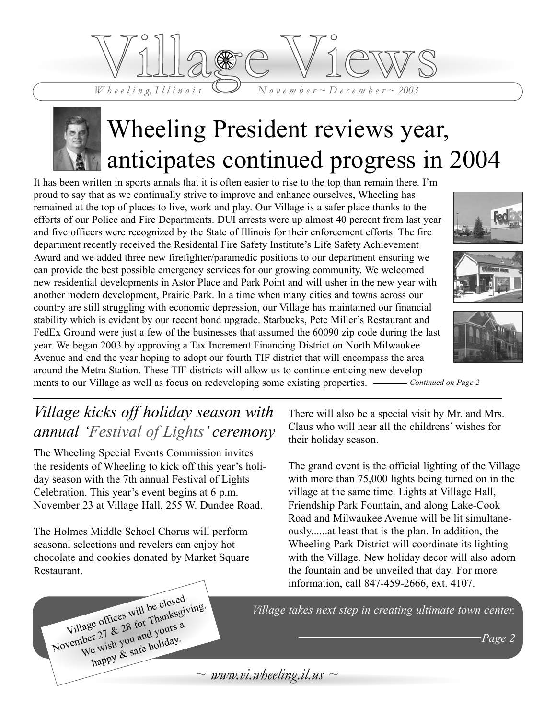



# Wheeling President reviews year, anticipates continued progress in 2004

It has been written in sports annals that it is often easier to rise to the top than remain there. I'm proud to say that as we continually strive to improve and enhance ourselves, Wheeling has remained at the top of places to live, work and play. Our Village is a safer place thanks to the efforts of our Police and Fire Departments. DUI arrests were up almost 40 percent from last year and five officers were recognized by the State of Illinois for their enforcement efforts. The fire department recently received the Residental Fire Safety Institute's Life Safety Achievement Award and we added three new firefighter/paramedic positions to our department ensuring we can provide the best possible emergency services for our growing community. We welcomed new residential developments in Astor Place and Park Point and will usher in the new year with another modern development, Prairie Park. In a time when many cities and towns across our country are still struggling with economic depression, our Village has maintained our financial stability which is evident by our recent bond upgrade. Starbucks, Pete Miller's Restaurant and FedEx Ground were just a few of the businesses that assumed the 60090 zip code during the last year. We began 2003 by approving a Tax Increment Financing District on North Milwaukee Avenue and end the year hoping to adopt our fourth TIF district that will encompass the area around the Metra Station. These TIF districts will allow us to continue enticing new develop-







ments to our Village as well as focus on redeveloping some existing properties. —— Continued on Page 2

### *Village kicks off holiday season with annual 'Festival of Lights' ceremony*

The Wheeling Special Events Commission invites the residents of Wheeling to kick off this year's holiday season with the 7th annual Festival of Lights Celebration. This year's event begins at 6 p.m. November 23 at Village Hall, 255 W. Dundee Road.

The Holmes Middle School Chorus will perform seasonal selections and revelers can enjoy hot chocolate and cookies donated by Market Square Restaurant.

Village offices will be closed<br>Village 27 & 28 for Thanksgive<br>We wish you and yours a Village offices will be closelying.<br>
Village offices will be closelying.<br>
November 27 & 28 for Thanksgiving.<br>
We wish you and yours a

happy & safe holiday.

There will also be a special visit by Mr. and Mrs. Claus who will hear all the childrens' wishes for their holiday season.

The grand event is the official lighting of the Village with more than 75,000 lights being turned on in the village at the same time. Lights at Village Hall, Friendship Park Fountain, and along Lake-Cook Road and Milwaukee Avenue will be lit simultaneously......at least that is the plan. In addition, the Wheeling Park District will coordinate its lighting with the Village. New holiday decor will also adorn the fountain and be unveiled that day. For more information, call 847-459-2666, ext. 4107.

*Village takes next step in creating ultimate town center.*

*Page 2*

 $\sim$  *www.vi.wheeling.il.us*  $\sim$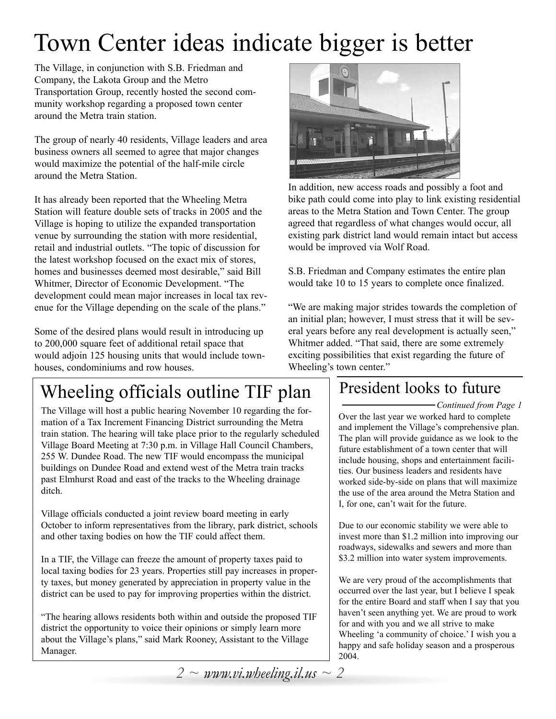# Town Center ideas indicate bigger is better

The Village, in conjunction with S.B. Friedman and Company, the Lakota Group and the Metro Transportation Group, recently hosted the second community workshop regarding a proposed town center around the Metra train station.

The group of nearly 40 residents, Village leaders and area business owners all seemed to agree that major changes would maximize the potential of the half-mile circle around the Metra Station.

It has already been reported that the Wheeling Metra Station will feature double sets of tracks in 2005 and the Village is hoping to utilize the expanded transportation venue by surrounding the station with more residential, retail and industrial outlets. "The topic of discussion for the latest workshop focused on the exact mix of stores, homes and businesses deemed most desirable," said Bill Whitmer, Director of Economic Development. "The development could mean major increases in local tax revenue for the Village depending on the scale of the plans."

Some of the desired plans would result in introducing up to 200,000 square feet of additional retail space that would adjoin 125 housing units that would include townhouses, condominiums and row houses.

## Wheeling officials outline TIF plan

The Village will host a public hearing November 10 regarding the formation of a Tax Increment Financing District surrounding the Metra train station. The hearing will take place prior to the regularly scheduled Village Board Meeting at 7:30 p.m. in Village Hall Council Chambers, 255 W. Dundee Road. The new TIF would encompass the municipal buildings on Dundee Road and extend west of the Metra train tracks past Elmhurst Road and east of the tracks to the Wheeling drainage ditch.

Village officials conducted a joint review board meeting in early October to inform representatives from the library, park district, schools and other taxing bodies on how the TIF could affect them.

In a TIF, the Village can freeze the amount of property taxes paid to local taxing bodies for 23 years. Properties still pay increases in property taxes, but money generated by appreciation in property value in the district can be used to pay for improving properties within the district.

"The hearing allows residents both within and outside the proposed TIF district the opportunity to voice their opinions or simply learn more about the Village's plans," said Mark Rooney, Assistant to the Village Manager.



In addition, new access roads and possibly a foot and bike path could come into play to link existing residential areas to the Metra Station and Town Center. The group agreed that regardless of what changes would occur, all existing park district land would remain intact but access would be improved via Wolf Road.

S.B. Friedman and Company estimates the entire plan would take 10 to 15 years to complete once finalized.

"We are making major strides towards the completion of an initial plan; however, I must stress that it will be several years before any real development is actually seen," Whitmer added. "That said, there are some extremely exciting possibilities that exist regarding the future of Wheeling's town center."

### President looks to future

*Continued from Page 1* Over the last year we worked hard to complete and implement the Village's comprehensive plan. The plan will provide guidance as we look to the future establishment of a town center that will include housing, shops and entertainment facilities. Our business leaders and residents have worked side-by-side on plans that will maximize the use of the area around the Metra Station and I, for one, can't wait for the future.

Due to our economic stability we were able to invest more than \$1.2 million into improving our roadways, sidewalks and sewers and more than \$3.2 million into water system improvements.

We are very proud of the accomplishments that occurred over the last year, but I believe I speak for the entire Board and staff when I say that you haven't seen anything yet. We are proud to work for and with you and we all strive to make Wheeling 'a community of choice.' I wish you a happy and safe holiday season and a prosperous 2004.

*2 ~ www.vi.wheeling.il.us ~ 2*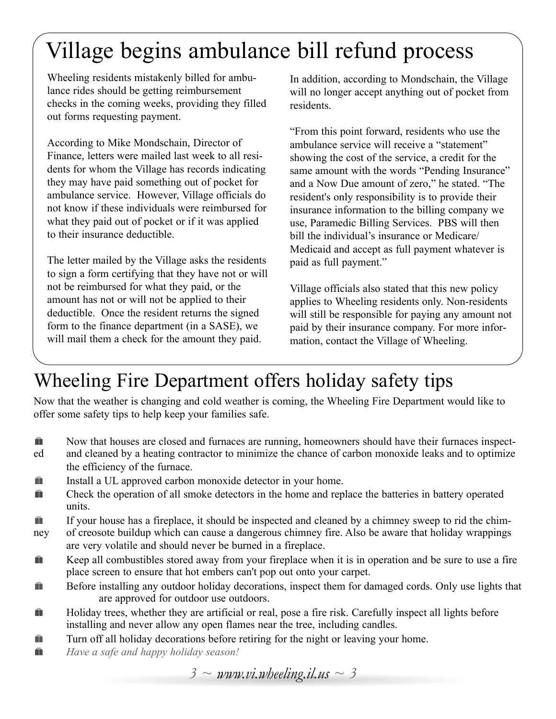# Village begins ambulance bill refund process

Wheeling residents mistakenly billed for ambulance rides should be getting reimbursement checks in the coming weeks, providing they filled out forms requesting payment.

According to Mike Mondschain, Director of Finance, letters were mailed last week to all residents for whom the Village has records indicating they may have paid something out of pocket for ambulance service. However, Village officials do not know if these individuals were reimbursed for what they paid out of pocket or if it was applied to their insurance deductible.

The letter mailed by the Village asks the residents to sign a form certifying that they have not or will not be reimbursed for what they paid, or the amount has not or will not be applied to their deductible. Once the resident returns the signed form to the finance department (in a SASE), we will mail them a check for the amount they paid.

In addition, according to Mondschain, the Village will no longer accept anything out of pocket from residents.

"From this point forward, residents who use the ambulance service will receive a "statement" showing the cost of the service, a credit for the same amount with the words "Pending Insurance" and a Now Due amount of zero," he stated. "The resident's only responsibility is to provide their insurance information to the billing company we use, Paramedic Billing Services. PBS will then bill the individual's insurance or Medicare/ Medicaid and accept as full payment whatever is paid as full payment."

Village officials also stated that this new policy applies to Wheeling residents only. Non-residents will still be responsible for paying any amount not paid by their insurance company. For more information, contact the Village of Wheeling.

## Wheeling Fire Department offers holiday safety tips

Now that the weather is changing and cold weather is coming, the Wheeling Fire Department would like to offer some safety tips to help keep your families safe.

- **Hence** Now that houses are closed and furnaces are running, homeowners should have their furnaces inspect-
- ed and cleaned by a heating contractor to minimize the chance of carbon monoxide leaks and to optimize the efficiency of the furnace.
- **Here** Install a UL approved carbon monoxide detector in your home.
- **EXECUTE:** Check the operation of all smoke detectors in the home and replace the batteries in battery operated units.
- **If your house has a fireplace, it should be inspected and cleaned by a chimney sweep to rid the chim-**
- ney of creosote buildup which can cause a dangerous chimney fire. Also be aware that holiday wrappings are very volatile and should never be burned in a fireplace.
- **H** Keep all combustibles stored away from your fireplace when it is in operation and be sure to use a fire place screen to ensure that hot embers can't pop out onto your carpet.
- **Example 1** Before installing any outdoor holiday decorations, inspect them for damaged cords. Only use lights that are approved for outdoor use outdoors.
- **Holiday trees, whether they are artificial or real, pose a fire risk. Carefully inspect all lights before** installing and never allow any open flames near the tree, including candles.
- **Turn off all holiday decorations before retiring for the night or leaving your home.**
- **ii** *Have a safe and happy holiday season!*

*3 ~ www.vi.wheeling.il.us ~ 3*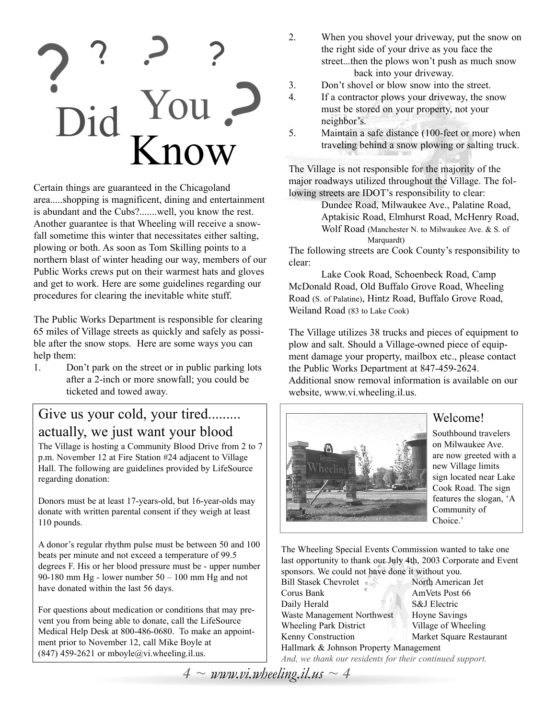# ? ? ? ?<br>Did You ? ? ? ? Did You Know

Certain things are guaranteed in the Chicagoland area.....shopping is magnificent, dining and entertainment is abundant and the Cubs?.......well, you know the rest. Another guarantee is that Wheeling will receive a snowfall sometime this winter that necessitates either salting, plowing or both. As soon as Tom Skilling points to a northern blast of winter heading our way, members of our Public Works crews put on their warmest hats and gloves and get to work. Here are some guidelines regarding our procedures for clearing the inevitable white stuff.

The Public Works Department is responsible for clearing 65 miles of Village streets as quickly and safely as possible after the snow stops. Here are some ways you can help them:

1. Don't park on the street or in public parking lots after a 2-inch or more snowfall; you could be ticketed and towed away.

### Give us your cold, your tired......... actually, we just want your blood

The Village is hosting a Community Blood Drive from 2 to 7 p.m. November 12 at Fire Station #24 adjacent to Village Hall. The following are guidelines provided by LifeSource regarding donation:

Donors must be at least 17-years-old, but 16-year-olds may donate with written parental consent if they weigh at least 110 pounds.

A donor's regular rhythm pulse must be between 50 and 100 beats per minute and not exceed a temperature of 99.5 degrees F. His or her blood pressure must be - upper number 90-180 mm Hg - lower number  $50 - 100$  mm Hg and not have donated within the last 56 days.

For questions about medication or conditions that may prevent you from being able to donate, call the LifeSource Medical Help Desk at 800-486-0680. To make an appointment prior to November 12, call Mike Boyle at  $(847)$  459-2621 or mboyle@vi.wheeling.il.us.

- 2. When you shovel your driveway, put the snow on the right side of your drive as you face the street...then the plows won't push as much snow back into your driveway.
- 3. Don't shovel or blow snow into the street.
- 4. If a contractor plows your driveway, the snow must be stored on your property, not your neighbor's.
- 5. Maintain a safe distance (100-feet or more) when traveling behind a snow plowing or salting truck.

The Village is not responsible for the majority of the major roadways utilized throughout the Village. The following streets are IDOT's responsibility to clear:

Dundee Road, Milwaukee Ave., Palatine Road, Aptakisic Road, Elmhurst Road, McHenry Road, Wolf Road (Manchester N. to Milwaukee Ave. & S. of Marquardt)

The following streets are Cook County's responsibility to clear:

Lake Cook Road, Schoenbeck Road, Camp McDonald Road, Old Buffalo Grove Road, Wheeling Road (S. of Palatine), Hintz Road, Buffalo Grove Road, Weiland Road (83 to Lake Cook)

The Village utilizes 38 trucks and pieces of equipment to plow and salt. Should a Village-owned piece of equipment damage your property, mailbox etc., please contact the Public Works Department at 847-459-2624. Additional snow removal information is available on our website, www.vi.wheeling.il.us.



### Welcome!

Southbound travelers on Milwaukee Ave. are now greeted with a new Village limits sign located near Lake Cook Road. The sign features the slogan, 'A Community of Choice.'

The Wheeling Special Events Commission wanted to take one last opportunity to thank our July 4th, 2003 Corporate and Event sponsors. We could not have done it without you.

| <b>Bill Stasek Chevrolet</b>                                                                                                                                                                                                                                                                                                                        | North American Jet       |  |
|-----------------------------------------------------------------------------------------------------------------------------------------------------------------------------------------------------------------------------------------------------------------------------------------------------------------------------------------------------|--------------------------|--|
| Corus Bank                                                                                                                                                                                                                                                                                                                                          | AmVets Post 66           |  |
| Daily Herald                                                                                                                                                                                                                                                                                                                                        | S&J Electric             |  |
| Waste Management Northwest                                                                                                                                                                                                                                                                                                                          | <b>Hoyne Savings</b>     |  |
| <b>Wheeling Park District</b>                                                                                                                                                                                                                                                                                                                       | Village of Wheeling      |  |
| Kenny Construction                                                                                                                                                                                                                                                                                                                                  | Market Square Restaurant |  |
| Hallmark & Johnson Property Management                                                                                                                                                                                                                                                                                                              |                          |  |
| $\overline{1}$ , $\overline{1}$ , $\overline{1}$ , $\overline{1}$ , $\overline{1}$ , $\overline{1}$ , $\overline{1}$ , $\overline{1}$ , $\overline{1}$ , $\overline{1}$ , $\overline{1}$ , $\overline{1}$ , $\overline{1}$ , $\overline{1}$ , $\overline{1}$ , $\overline{1}$ , $\overline{1}$ , $\overline{1}$ , $\overline{1}$ , $\overline{1}$ , |                          |  |

 $4 \sim$  *www.vi.wheeling.il.us*  $\sim$  4 *And, we thank our residents for their continued support.*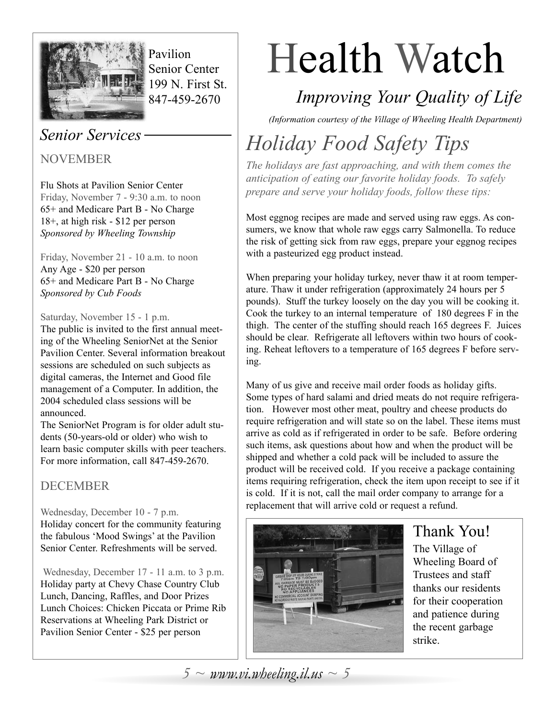

Pavilion Senior Center 199 N. First St. 847-459-2670

### *Senior Services*

NOVEMBER

Flu Shots at Pavilion Senior Center Friday, November 7 - 9:30 a.m. to noon 65+ and Medicare Part B - No Charge 18+, at high risk - \$12 per person *Sponsored by Wheeling Township*

Friday, November 21 - 10 a.m. to noon Any Age - \$20 per person 65+ and Medicare Part B - No Charge *Sponsored by Cub Foods*

### Saturday, November 15 - 1 p.m.

The public is invited to the first annual meeting of the Wheeling SeniorNet at the Senior Pavilion Center. Several information breakout sessions are scheduled on such subjects as digital cameras, the Internet and Good file management of a Computer. In addition, the 2004 scheduled class sessions will be announced.

The SeniorNet Program is for older adult students (50-years-old or older) who wish to learn basic computer skills with peer teachers. For more information, call 847-459-2670.

### **DECEMBER**

### Wednesday, December 10 - 7 p.m. Holiday concert for the community featuring the fabulous 'Mood Swings' at the Pavilion Senior Center. Refreshments will be served.

Wednesday, December 17 - 11 a.m. to 3 p.m. Holiday party at Chevy Chase Country Club Lunch, Dancing, Raffles, and Door Prizes Lunch Choices: Chicken Piccata or Prime Rib Reservations at Wheeling Park District or Pavilion Senior Center - \$25 per person

# Health Watch

## *Improving Your Quality of Life*

*(Information courtesy of the Village of Wheeling Health Department)*

# *Holiday Food Safety Tips*

*The holidays are fast approaching, and with them comes the anticipation of eating our favorite holiday foods. To safely prepare and serve your holiday foods, follow these tips:*

Most eggnog recipes are made and served using raw eggs. As consumers, we know that whole raw eggs carry Salmonella. To reduce the risk of getting sick from raw eggs, prepare your eggnog recipes with a pasteurized egg product instead.

When preparing your holiday turkey, never thaw it at room temperature. Thaw it under refrigeration (approximately 24 hours per 5 pounds). Stuff the turkey loosely on the day you will be cooking it. Cook the turkey to an internal temperature of 180 degrees F in the thigh. The center of the stuffing should reach 165 degrees F. Juices should be clear. Refrigerate all leftovers within two hours of cooking. Reheat leftovers to a temperature of 165 degrees F before serving.

Many of us give and receive mail order foods as holiday gifts. Some types of hard salami and dried meats do not require refrigeration. However most other meat, poultry and cheese products do require refrigeration and will state so on the label. These items must arrive as cold as if refrigerated in order to be safe. Before ordering such items, ask questions about how and when the product will be shipped and whether a cold pack will be included to assure the product will be received cold. If you receive a package containing items requiring refrigeration, check the item upon receipt to see if it is cold. If it is not, call the mail order company to arrange for a replacement that will arrive cold or request a refund.



## Thank You!

The Village of Wheeling Board of Trustees and staff thanks our residents for their cooperation and patience during the recent garbage strike.

 $5 \sim$  *www.vi.wheeling.il.us*  $\sim$  5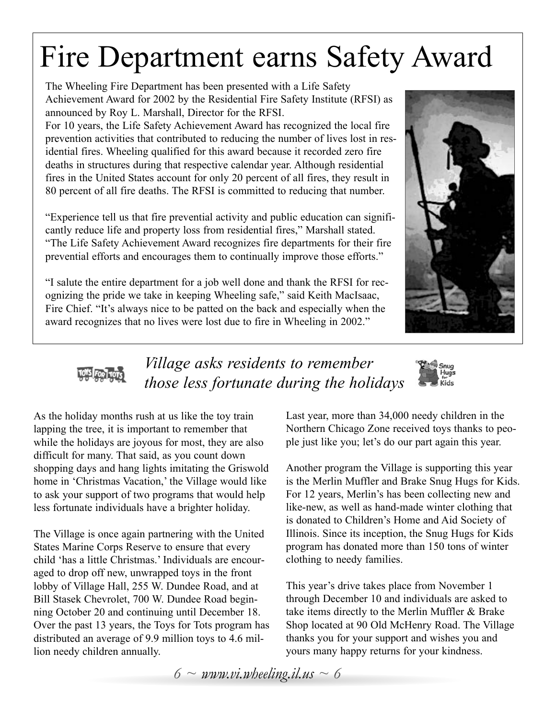# Fire Department earns Safety Award

The Wheeling Fire Department has been presented with a Life Safety Achievement Award for 2002 by the Residential Fire Safety Institute (RFSI) as announced by Roy L. Marshall, Director for the RFSI.

For 10 years, the Life Safety Achievement Award has recognized the local fire prevention activities that contributed to reducing the number of lives lost in residential fires. Wheeling qualified for this award because it recorded zero fire deaths in structures during that respective calendar year. Although residential fires in the United States account for only 20 percent of all fires, they result in 80 percent of all fire deaths. The RFSI is committed to reducing that number.

"Experience tell us that fire prevential activity and public education can significantly reduce life and property loss from residential fires," Marshall stated. "The Life Safety Achievement Award recognizes fire departments for their fire prevential efforts and encourages them to continually improve those efforts."

"I salute the entire department for a job well done and thank the RFSI for recognizing the pride we take in keeping Wheeling safe," said Keith MacIsaac, Fire Chief. "It's always nice to be patted on the back and especially when the award recognizes that no lives were lost due to fire in Wheeling in 2002."





### *Village asks residents to remember those less fortunate during the holidays*



As the holiday months rush at us like the toy train lapping the tree, it is important to remember that while the holidays are joyous for most, they are also difficult for many. That said, as you count down shopping days and hang lights imitating the Griswold home in 'Christmas Vacation,' the Village would like to ask your support of two programs that would help less fortunate individuals have a brighter holiday.

The Village is once again partnering with the United States Marine Corps Reserve to ensure that every child 'has a little Christmas.' Individuals are encouraged to drop off new, unwrapped toys in the front lobby of Village Hall, 255 W. Dundee Road, and at Bill Stasek Chevrolet, 700 W. Dundee Road beginning October 20 and continuing until December 18. Over the past 13 years, the Toys for Tots program has distributed an average of 9.9 million toys to 4.6 million needy children annually.

Last year, more than 34,000 needy children in the Northern Chicago Zone received toys thanks to people just like you; let's do our part again this year.

Another program the Village is supporting this year is the Merlin Muffler and Brake Snug Hugs for Kids. For 12 years, Merlin's has been collecting new and like-new, as well as hand-made winter clothing that is donated to Children's Home and Aid Society of Illinois. Since its inception, the Snug Hugs for Kids program has donated more than 150 tons of winter clothing to needy families.

This year's drive takes place from November 1 through December 10 and individuals are asked to take items directly to the Merlin Muffler & Brake Shop located at 90 Old McHenry Road. The Village thanks you for your support and wishes you and yours many happy returns for your kindness.

*6 ~ www.vi.wheeling.il.us ~ 6*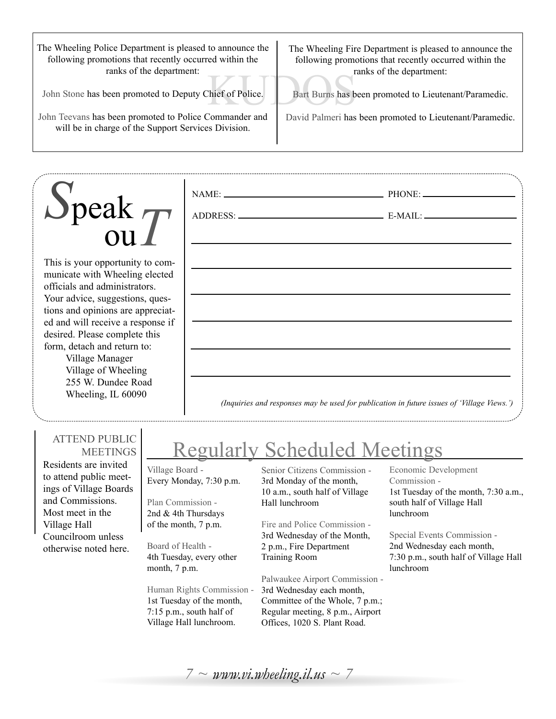The Wheeling Police Department is pleased to announce the following promotions that recently occurred within the ranks of the department:

John Stone has been promoted to Deputy Chief of Police.

John Teevans has been promoted to Police Commander and will be in charge of the Support Services Division.

The Wheeling Fire Department is pleased to announce the following promotions that recently occurred within the ranks of the department:

The State Bart Burns has b Bart Burns has been promoted to Lieutenant/Paramedic.

David Palmeri has been promoted to Lieutenant/Paramedic.

# *S*peak ou*T*

This is your opportunity to communicate with Wheeling elected officials and administrators. Your advice, suggestions, questions and opinions are appreciated and will receive a response if desired. Please complete this form, detach and return to:

Village Manager Village of Wheeling 255 W. Dundee Road Wheeling, IL 60090

*(Inquiries and responses may be used for publication in future issues of 'Village Views.')*

### ATTEND PUBLIC **MEETINGS**

Residents are invited to attend public meetings of Village Boards and Commissions. Most meet in the Village Hall Councilroom unless otherwise noted here.

# Regularly Scheduled Meetings

NAME: PHONE:

ADDRESS: E-MAIL:

Village Board - Every Monday, 7:30 p.m.

Plan Commission - 2nd & 4th Thursdays of the month, 7 p.m.

Board of Health - 4th Tuesday, every other month, 7 p.m.

Human Rights Commission - 1st Tuesday of the month, 7:15 p.m., south half of Village Hall lunchroom.

Senior Citizens Commission - 3rd Monday of the month, 10 a.m., south half of Village Hall lunchroom

Fire and Police Commission - 3rd Wednesday of the Month, 2 p.m., Fire Department Training Room

Palwaukee Airport Commission - 3rd Wednesday each month, Committee of the Whole, 7 p.m.; Regular meeting, 8 p.m., Airport Offices, 1020 S. Plant Road.

#### Economic Development Commission - 1st Tuesday of the month, 7:30 a.m., south half of Village Hall lunchroom

Special Events Commission - 2nd Wednesday each month, 7:30 p.m., south half of Village Hall lunchroom

 $7 \sim$  www.vi.wheeling.il.us  $\sim$  7